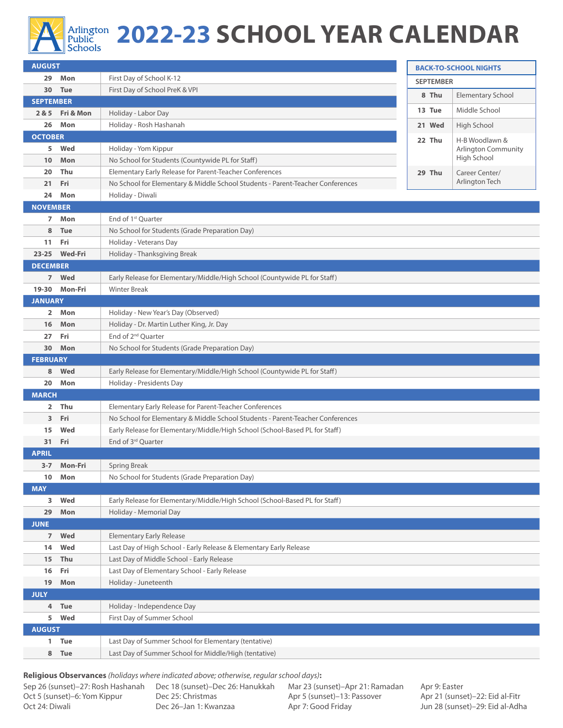

## Arlington **2022-23 SCHOOL YEAR CALENDAR**

| <b>AUGUST</b>    |                 |                                                                                                                 | <b>BACK-TO-SCHOOL NIGHTS</b> |                                           |  |  |  |
|------------------|-----------------|-----------------------------------------------------------------------------------------------------------------|------------------------------|-------------------------------------------|--|--|--|
|                  | 29 Mon          | First Day of School K-12                                                                                        | <b>SEPTEMBER</b>             |                                           |  |  |  |
|                  | 30 Tue          | First Day of School PreK & VPI                                                                                  | 8 Thu                        | <b>Elementary School</b>                  |  |  |  |
| <b>SEPTEMBER</b> |                 |                                                                                                                 |                              |                                           |  |  |  |
|                  | 2 & 5 Fri & Mon | Holiday - Labor Day                                                                                             | 13 Tue                       | Middle School                             |  |  |  |
| 26               | Mon             | Holiday - Rosh Hashanah                                                                                         | 21 Wed                       | High School                               |  |  |  |
| <b>OCTOBER</b>   |                 |                                                                                                                 | 22 Thu                       | H-B Woodlawn &                            |  |  |  |
| 5                | Wed             | Holiday - Yom Kippur                                                                                            |                              | <b>Arlington Community</b><br>High School |  |  |  |
| 10               | Mon             | No School for Students (Countywide PL for Staff)                                                                |                              |                                           |  |  |  |
| 20               | Thu             | Elementary Early Release for Parent-Teacher Conferences                                                         | 29 Thu                       | Career Center/<br>Arlington Tech          |  |  |  |
| 21<br>24         | Fri<br>Mon      | No School for Elementary & Middle School Students - Parent-Teacher Conferences                                  |                              |                                           |  |  |  |
| <b>NOVEMBER</b>  |                 | Holiday - Diwali                                                                                                |                              |                                           |  |  |  |
| $\overline{ }$   | Mon             | End of 1 <sup>st</sup> Quarter                                                                                  |                              |                                           |  |  |  |
| 8                | <b>Tue</b>      | No School for Students (Grade Preparation Day)                                                                  |                              |                                           |  |  |  |
| 11               | Fri             | Holiday - Veterans Day                                                                                          |                              |                                           |  |  |  |
| $23 - 25$        | <b>Wed-Fri</b>  | Holiday - Thanksgiving Break                                                                                    |                              |                                           |  |  |  |
| <b>DECEMBER</b>  |                 |                                                                                                                 |                              |                                           |  |  |  |
|                  | 7 Wed           | Early Release for Elementary/Middle/High School (Countywide PL for Staff)                                       |                              |                                           |  |  |  |
| $19 - 30$        | Mon-Fri         | <b>Winter Break</b>                                                                                             |                              |                                           |  |  |  |
| <b>JANUARY</b>   |                 |                                                                                                                 |                              |                                           |  |  |  |
| $\overline{2}$   | Mon             | Holiday - New Year's Day (Observed)                                                                             |                              |                                           |  |  |  |
| 16               | Mon             | Holiday - Dr. Martin Luther King, Jr. Day                                                                       |                              |                                           |  |  |  |
| 27               | Fri             | End of 2 <sup>nd</sup> Quarter                                                                                  |                              |                                           |  |  |  |
| 30               | Mon             | No School for Students (Grade Preparation Day)                                                                  |                              |                                           |  |  |  |
| <b>FEBRUARY</b>  |                 |                                                                                                                 |                              |                                           |  |  |  |
| 8                | Wed             | Early Release for Elementary/Middle/High School (Countywide PL for Staff)                                       |                              |                                           |  |  |  |
| 20               | Mon             | Holiday - Presidents Day                                                                                        |                              |                                           |  |  |  |
| <b>MARCH</b>     |                 |                                                                                                                 |                              |                                           |  |  |  |
| $\mathbf{2}$     | Thu             | Elementary Early Release for Parent-Teacher Conferences                                                         |                              |                                           |  |  |  |
| 3                | Fri             | No School for Elementary & Middle School Students - Parent-Teacher Conferences                                  |                              |                                           |  |  |  |
| 15               | Wed             | Early Release for Elementary/Middle/High School (School-Based PL for Staff)                                     |                              |                                           |  |  |  |
| 31               | Fri             | End of 3 <sup>rd</sup> Ouarter                                                                                  |                              |                                           |  |  |  |
| <b>APRIL</b>     |                 |                                                                                                                 |                              |                                           |  |  |  |
|                  | 3-7 Mon-Fri     | Spring Break                                                                                                    |                              |                                           |  |  |  |
| $10-10$          | Mon             | No School for Students (Grade Preparation Day)                                                                  |                              |                                           |  |  |  |
| <b>MAY</b>       |                 |                                                                                                                 |                              |                                           |  |  |  |
| 3                | Wed             | Early Release for Elementary/Middle/High School (School-Based PL for Staff)                                     |                              |                                           |  |  |  |
| 29               | Mon             | Holiday - Memorial Day                                                                                          |                              |                                           |  |  |  |
| <b>JUNE</b>      | Wed             | <b>Elementary Early Release</b>                                                                                 |                              |                                           |  |  |  |
| 7 <sup>7</sup>   | Wed             |                                                                                                                 |                              |                                           |  |  |  |
| 14<br>15         | Thu             | Last Day of High School - Early Release & Elementary Early Release<br>Last Day of Middle School - Early Release |                              |                                           |  |  |  |
| 16               | Fri             | Last Day of Elementary School - Early Release                                                                   |                              |                                           |  |  |  |
| 19               | Mon             | Holiday - Juneteenth                                                                                            |                              |                                           |  |  |  |
| <b>JULY</b>      |                 |                                                                                                                 |                              |                                           |  |  |  |
| 4                | Tue             | Holiday - Independence Day                                                                                      |                              |                                           |  |  |  |
| 5                | Wed             | First Day of Summer School                                                                                      |                              |                                           |  |  |  |
| <b>AUGUST</b>    |                 |                                                                                                                 |                              |                                           |  |  |  |
|                  | 1 Tue           | Last Day of Summer School for Elementary (tentative)                                                            |                              |                                           |  |  |  |
| 8                | <b>Tue</b>      | Last Day of Summer School for Middle/High (tentative)                                                           |                              |                                           |  |  |  |
|                  |                 |                                                                                                                 |                              |                                           |  |  |  |

**Religious Observances** *(holidays where indicated above; otherwise, regular school days)***:**

Oct 5 (sunset)–6: Yom Kippur Oct 24: Diwali

Sep 26 (sunset)–27: Rosh Hashanah Dec 18 (sunset)–Dec 26: Hanukkah Dec 25: Christmas Dec 26–Jan 1: Kwanzaa

Mar 23 (sunset)–Apr 21: Ramadan Apr 5 (sunset)–13: Passover Apr 7: Good Friday

Apr 9: Easter Apr 21 (sunset)–22: Eid al-Fitr Jun 28 (sunset)–29: Eid al-Adha